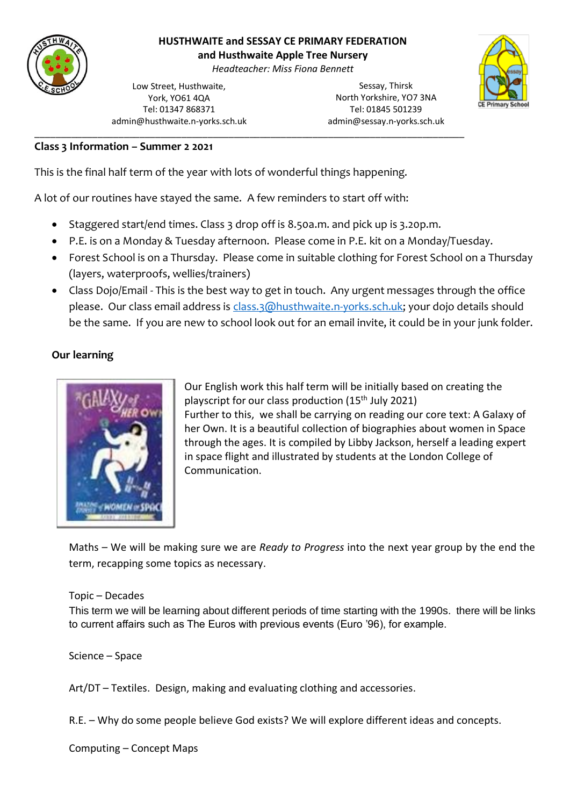

# **HUSTHWAITE and SESSAY CE PRIMARY FEDERATION**

**and Husthwaite Apple Tree Nursery**

*Headteacher: Miss Fiona Bennett*

Low Street, Husthwaite, York, YO61 4QA Tel: 01347 868371 admin@husthwaite.n-yorks.sch.uk

Sessay, Thirsk North Yorkshire, YO7 3NA Tel: 01845 501239 admin@sessay.n-yorks.sch.uk



### **Class 3 Information – Summer 2 2021**

This is the final half term of the year with lots of wonderful things happening.

A lot of our routines have stayed the same. A few reminders to start off with:

• Staggered start/end times. Class 3 drop off is 8.50a.m. and pick up is 3.20p.m.

\_\_\_\_\_\_\_\_\_\_\_\_\_\_\_\_\_\_\_\_\_\_\_\_\_\_\_\_\_\_\_\_\_\_\_\_\_\_\_\_\_\_\_\_\_\_\_\_\_\_\_\_\_\_\_\_\_\_\_\_\_\_\_\_\_\_\_\_\_\_\_\_\_\_\_\_\_\_\_\_\_\_

- P.E. is on a Monday & Tuesday afternoon. Please come in P.E. kit on a Monday/Tuesday.
- Forest School is on a Thursday. Please come in suitable clothing for Forest School on a Thursday (layers, waterproofs, wellies/trainers)
- Class Dojo/Email This is the best way to get in touch. Any urgent messages through the office please. Our class email address is [class.3@husthwaite.n-yorks.sch.uk;](mailto:class.3@husthwaite.n-yorks.sch.uk) your dojo details should be the same. If you are new to school look out for an email invite, it could be in your junk folder.

## **Our learning**



Our English work this half term will be initially based on creating the playscript for our class production  $(15<sup>th</sup>$  July 2021) Further to this, we shall be carrying on reading our core text: A Galaxy of her Own. It is a beautiful collection of biographies about women in Space through the ages. It is compiled by Libby Jackson, herself a leading expert in space flight and illustrated by students at the London College of Communication.

Maths – We will be making sure we are *Ready to Progress* into the next year group by the end the term, recapping some topics as necessary.

#### Topic – Decades

This term we will be learning about different periods of time starting with the 1990s. there will be links to current affairs such as The Euros with previous events (Euro '96), for example.

Science – Space

Art/DT – Textiles. Design, making and evaluating clothing and accessories.

R.E. – Why do some people believe God exists? We will explore different ideas and concepts.

Computing – Concept Maps